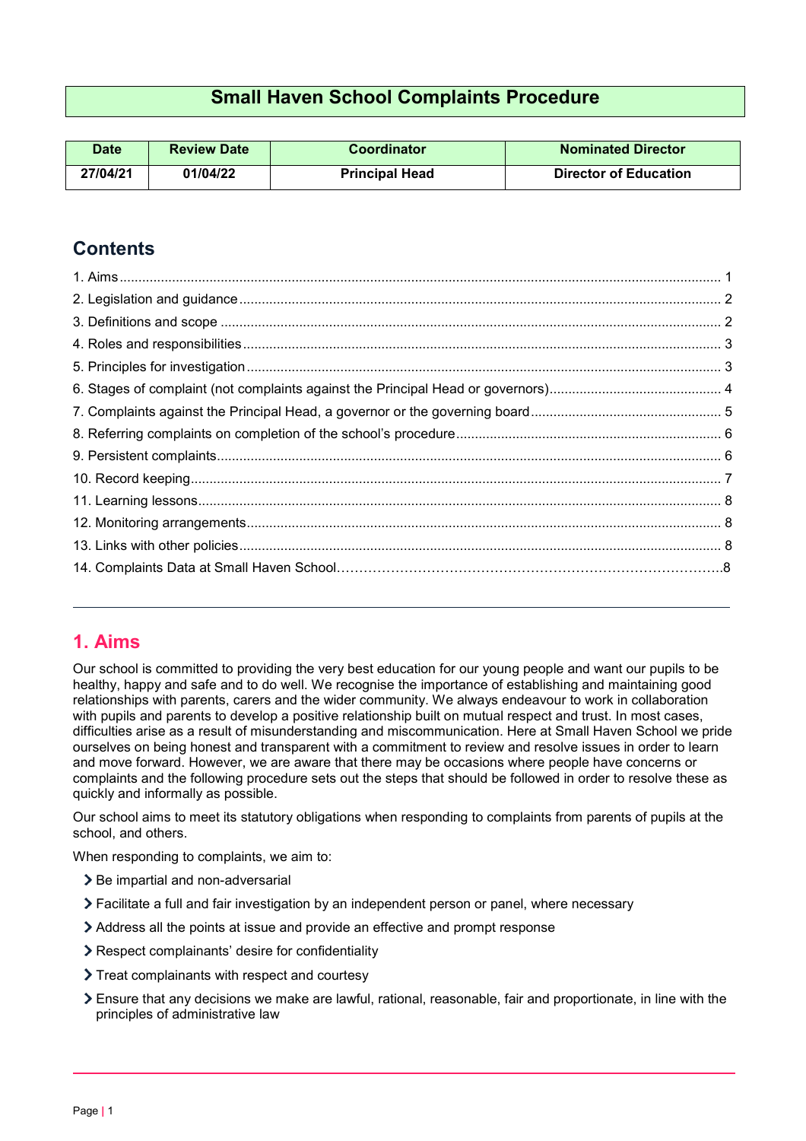# **Small Haven School Complaints Procedure**

| <b>Date</b> | <b>Review Date</b> | Coordinator           | <b>Nominated Director</b>    |  |
|-------------|--------------------|-----------------------|------------------------------|--|
| 27/04/21    | 01/04/22           | <b>Principal Head</b> | <b>Director of Education</b> |  |

# **Contents**

## <span id="page-0-0"></span>**1. Aims**

Our school is committed to providing the very best education for our young people and want our pupils to be healthy, happy and safe and to do well. We recognise the importance of establishing and maintaining good relationships with parents, carers and the wider community. We always endeavour to work in collaboration with pupils and parents to develop a positive relationship built on mutual respect and trust. In most cases, difficulties arise as a result of misunderstanding and miscommunication. Here at Small Haven School we pride ourselves on being honest and transparent with a commitment to review and resolve issues in order to learn and move forward. However, we are aware that there may be occasions where people have concerns or complaints and the following procedure sets out the steps that should be followed in order to resolve these as quickly and informally as possible.

Our school aims to meet its statutory obligations when responding to complaints from parents of pupils at the school, and others.

When responding to complaints, we aim to:

- > Be impartial and non-adversarial
- Facilitate a full and fair investigation by an independent person or panel, where necessary
- Address all the points at issue and provide an effective and prompt response
- Respect complainants' desire for confidentiality
- > Treat complainants with respect and courtesy
- Ensure that any decisions we make are lawful, rational, reasonable, fair and proportionate, in line with the principles of administrative law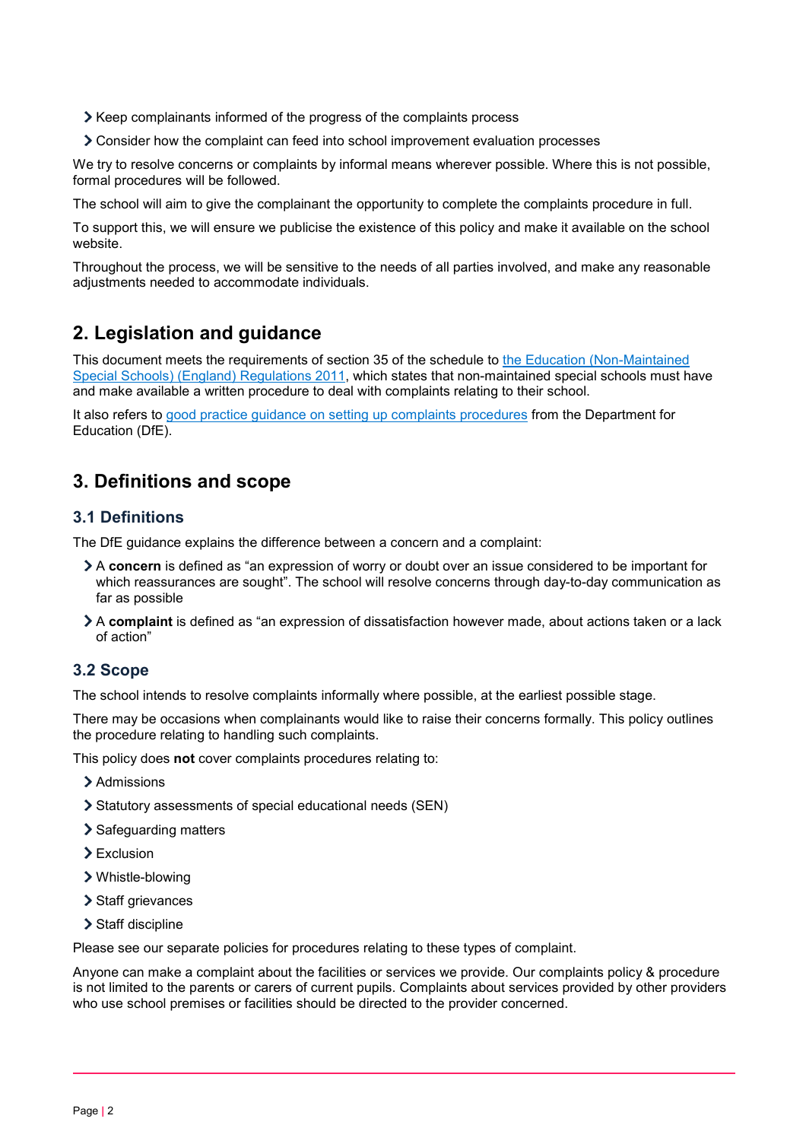Xeep complainants informed of the progress of the complaints process

Consider how the complaint can feed into school improvement evaluation processes

We try to resolve concerns or complaints by informal means wherever possible. Where this is not possible, formal procedures will be followed.

The school will aim to give the complainant the opportunity to complete the complaints procedure in full.

To support this, we will ensure we publicise the existence of this policy and make it available on the school website.

Throughout the process, we will be sensitive to the needs of all parties involved, and make any reasonable adjustments needed to accommodate individuals.

# <span id="page-1-0"></span>**2. Legislation and guidance**

This document meets the requirements of section 35 of the schedule to [the Education \(Non-Maintained](http://www.legislation.gov.uk/uksi/2011/1627/schedule/made)  [Special Schools\) \(England\) Regulations 2011,](http://www.legislation.gov.uk/uksi/2011/1627/schedule/made) which states that non-maintained special schools must have and make available a written procedure to deal with complaints relating to their school.

It also refers to [good practice guidance on setting up complaints procedures](https://www.gov.uk/government/publications/school-complaints-procedures) from the Department for Education (DfE).

## <span id="page-1-1"></span>**3. Definitions and scope**

### **3.1 Definitions**

The DfE guidance explains the difference between a concern and a complaint:

- A **concern** is defined as "an expression of worry or doubt over an issue considered to be important for which reassurances are sought". The school will resolve concerns through day-to-day communication as far as possible
- A **complaint** is defined as "an expression of dissatisfaction however made, about actions taken or a lack of action"

### **3.2 Scope**

The school intends to resolve complaints informally where possible, at the earliest possible stage.

There may be occasions when complainants would like to raise their concerns formally. This policy outlines the procedure relating to handling such complaints.

This policy does **not** cover complaints procedures relating to:

- > Admissions
- Statutory assessments of special educational needs (SEN)
- > Safequarding matters
- > Exclusion
- Whistle-blowing
- > Staff grievances
- > Staff discipline

Please see our separate policies for procedures relating to these types of complaint.

Anyone can make a complaint about the facilities or services we provide. Our complaints policy & procedure is not limited to the parents or carers of current pupils. Complaints about services provided by other providers who use school premises or facilities should be directed to the provider concerned.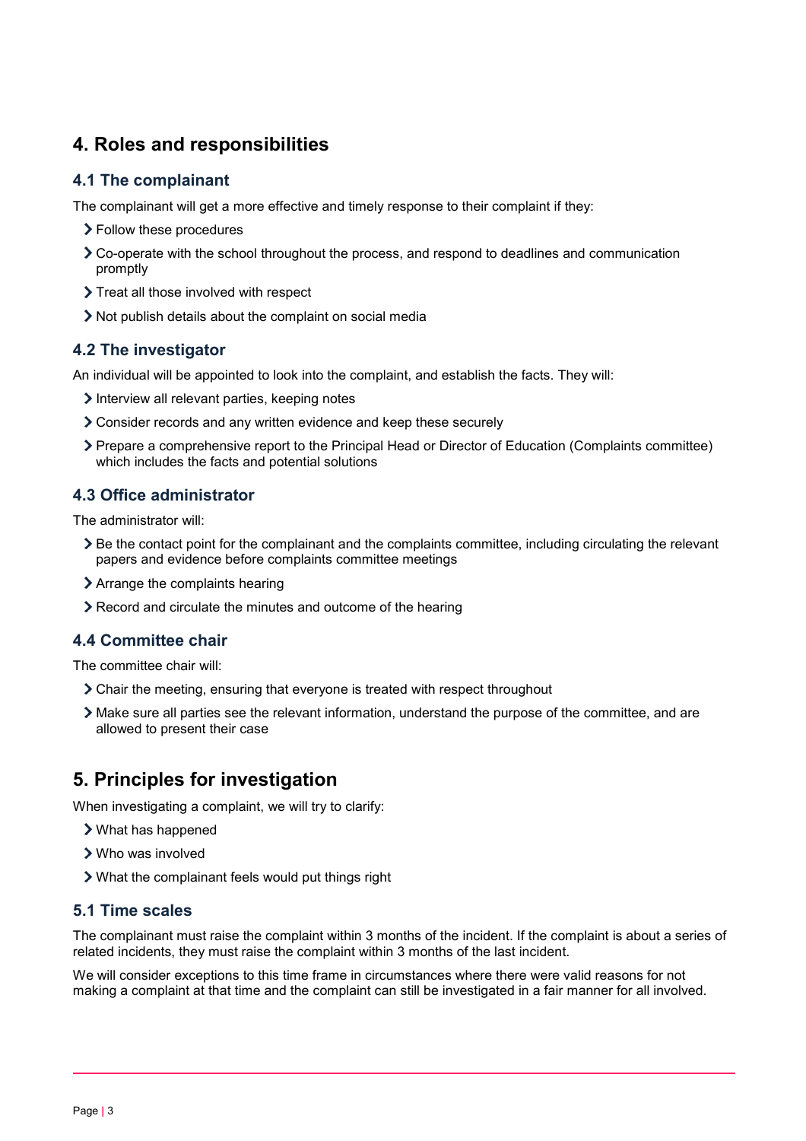## <span id="page-2-0"></span>**4. Roles and responsibilities**

### **4.1 The complainant**

The complainant will get a more effective and timely response to their complaint if they:

- > Follow these procedures
- Co-operate with the school throughout the process, and respond to deadlines and communication promptly
- > Treat all those involved with respect
- Not publish details about the complaint on social media

### **4.2 The investigator**

An individual will be appointed to look into the complaint, and establish the facts. They will:

- Interview all relevant parties, keeping notes
- Consider records and any written evidence and keep these securely
- Prepare a comprehensive report to the Principal Head or Director of Education (Complaints committee) which includes the facts and potential solutions

### **4.3 Office administrator**

The administrator will:

- Be the contact point for the complainant and the complaints committee, including circulating the relevant papers and evidence before complaints committee meetings
- Arrange the complaints hearing
- Record and circulate the minutes and outcome of the hearing

### **4.4 Committee chair**

The committee chair will:

- Chair the meeting, ensuring that everyone is treated with respect throughout
- Make sure all parties see the relevant information, understand the purpose of the committee, and are allowed to present their case

## <span id="page-2-1"></span>**5. Principles for investigation**

When investigating a complaint, we will try to clarify:

- What has happened
- Who was involved
- What the complainant feels would put things right

### **5.1 Time scales**

The complainant must raise the complaint within 3 months of the incident. If the complaint is about a series of related incidents, they must raise the complaint within 3 months of the last incident.

We will consider exceptions to this time frame in circumstances where there were valid reasons for not making a complaint at that time and the complaint can still be investigated in a fair manner for all involved.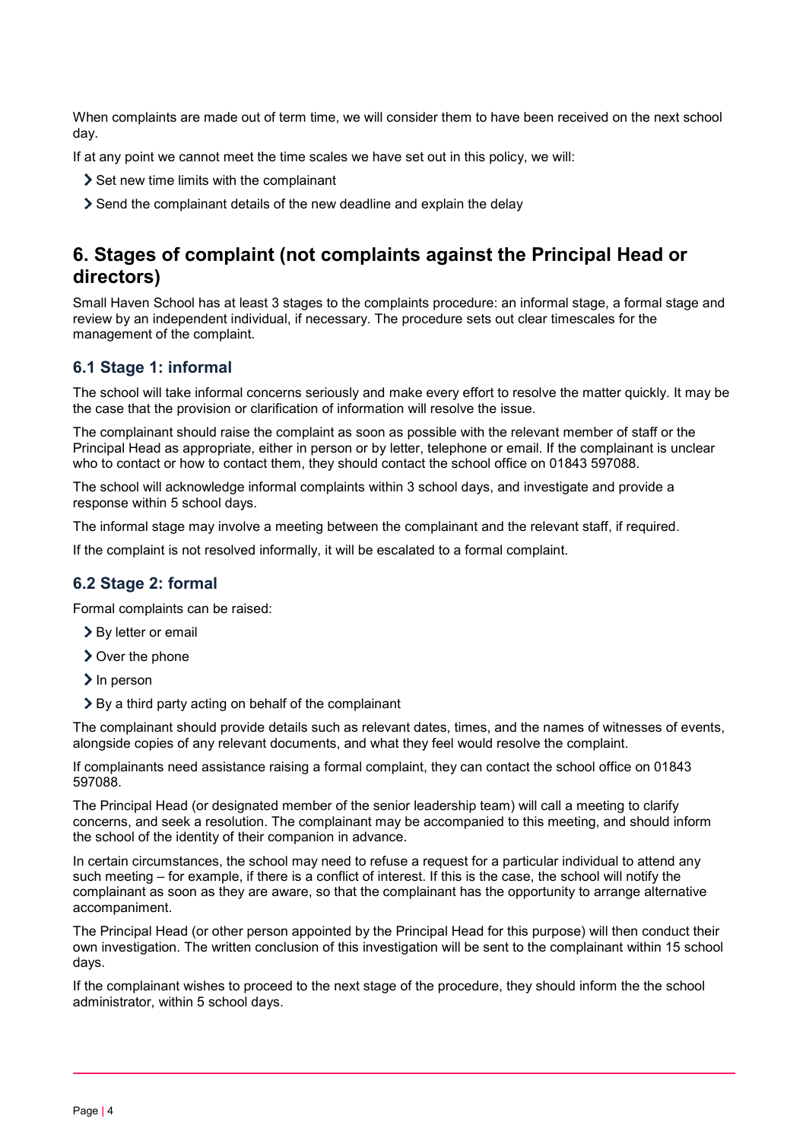When complaints are made out of term time, we will consider them to have been received on the next school day.

If at any point we cannot meet the time scales we have set out in this policy, we will:

- Set new time limits with the complainant
- Send the complainant details of the new deadline and explain the delay

## <span id="page-3-0"></span>**6. Stages of complaint (not complaints against the Principal Head or directors)**

Small Haven School has at least 3 stages to the complaints procedure: an informal stage, a formal stage and review by an independent individual, if necessary. The procedure sets out clear timescales for the management of the complaint.

#### **6.1 Stage 1: informal**

The school will take informal concerns seriously and make every effort to resolve the matter quickly. It may be the case that the provision or clarification of information will resolve the issue.

The complainant should raise the complaint as soon as possible with the relevant member of staff or the Principal Head as appropriate, either in person or by letter, telephone or email. If the complainant is unclear who to contact or how to contact them, they should contact the school office on 01843 597088.

The school will acknowledge informal complaints within 3 school days, and investigate and provide a response within 5 school days.

The informal stage may involve a meeting between the complainant and the relevant staff, if required.

If the complaint is not resolved informally, it will be escalated to a formal complaint.

#### **6.2 Stage 2: formal**

Formal complaints can be raised:

- > By letter or email
- **>** Over the phone
- $\sum$  In person
- By a third party acting on behalf of the complainant

The complainant should provide details such as relevant dates, times, and the names of witnesses of events, alongside copies of any relevant documents, and what they feel would resolve the complaint.

If complainants need assistance raising a formal complaint, they can contact the school office on 01843 597088.

The Principal Head (or designated member of the senior leadership team) will call a meeting to clarify concerns, and seek a resolution. The complainant may be accompanied to this meeting, and should inform the school of the identity of their companion in advance.

In certain circumstances, the school may need to refuse a request for a particular individual to attend any such meeting – for example, if there is a conflict of interest. If this is the case, the school will notify the complainant as soon as they are aware, so that the complainant has the opportunity to arrange alternative accompaniment.

The Principal Head (or other person appointed by the Principal Head for this purpose) will then conduct their own investigation. The written conclusion of this investigation will be sent to the complainant within 15 school days.

If the complainant wishes to proceed to the next stage of the procedure, they should inform the the school administrator, within 5 school days.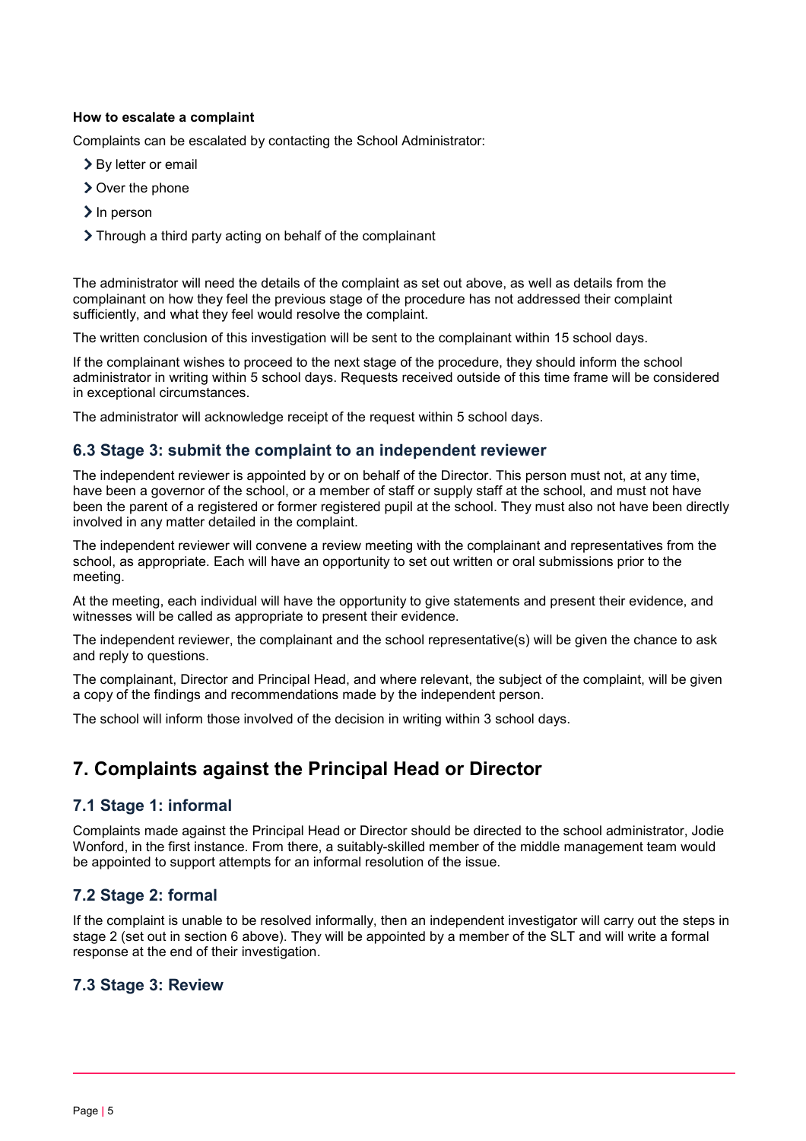#### **How to escalate a complaint**

Complaints can be escalated by contacting the School Administrator:

- > By letter or email
- > Over the phone
- $\sum$  In person
- Through a third party acting on behalf of the complainant

The administrator will need the details of the complaint as set out above, as well as details from the complainant on how they feel the previous stage of the procedure has not addressed their complaint sufficiently, and what they feel would resolve the complaint.

The written conclusion of this investigation will be sent to the complainant within 15 school days.

If the complainant wishes to proceed to the next stage of the procedure, they should inform the school administrator in writing within 5 school days. Requests received outside of this time frame will be considered in exceptional circumstances.

The administrator will acknowledge receipt of the request within 5 school days.

### **6.3 Stage 3: submit the complaint to an independent reviewer**

The independent reviewer is appointed by or on behalf of the Director. This person must not, at any time, have been a governor of the school, or a member of staff or supply staff at the school, and must not have been the parent of a registered or former registered pupil at the school. They must also not have been directly involved in any matter detailed in the complaint.

The independent reviewer will convene a review meeting with the complainant and representatives from the school, as appropriate. Each will have an opportunity to set out written or oral submissions prior to the meeting.

At the meeting, each individual will have the opportunity to give statements and present their evidence, and witnesses will be called as appropriate to present their evidence.

The independent reviewer, the complainant and the school representative(s) will be given the chance to ask and reply to questions.

The complainant, Director and Principal Head, and where relevant, the subject of the complaint, will be given a copy of the findings and recommendations made by the independent person.

The school will inform those involved of the decision in writing within 3 school days.

# <span id="page-4-0"></span>**7. Complaints against the Principal Head or Director**

### **7.1 Stage 1: informal**

Complaints made against the Principal Head or Director should be directed to the school administrator, Jodie Wonford, in the first instance. From there, a suitably-skilled member of the middle management team would be appointed to support attempts for an informal resolution of the issue.

## **7.2 Stage 2: formal**

If the complaint is unable to be resolved informally, then an independent investigator will carry out the steps in stage 2 (set out in section 6 above). They will be appointed by a member of the SLT and will write a formal response at the end of their investigation.

### **7.3 Stage 3: Review**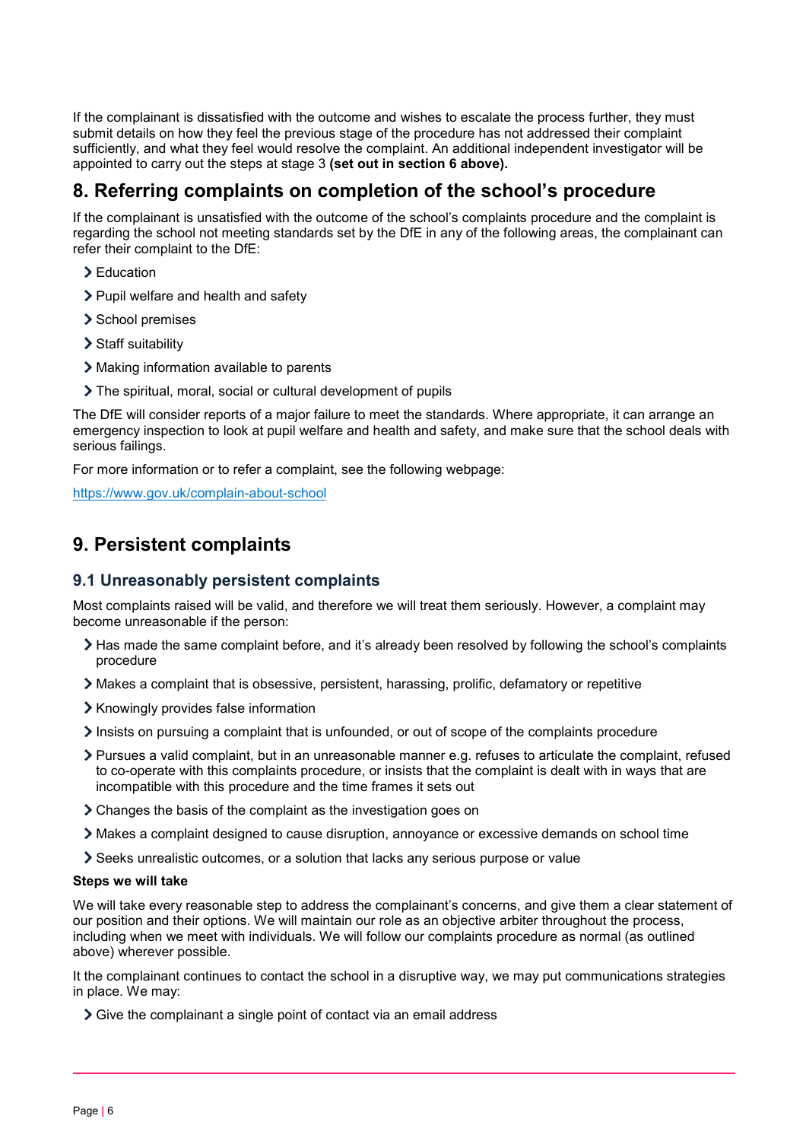If the complainant is dissatisfied with the outcome and wishes to escalate the process further, they must submit details on how they feel the previous stage of the procedure has not addressed their complaint sufficiently, and what they feel would resolve the complaint. An additional independent investigator will be appointed to carry out the steps at stage 3 **(set out in section 6 above).**

## <span id="page-5-0"></span>**8. Referring complaints on completion of the school's procedure**

If the complainant is unsatisfied with the outcome of the school's complaints procedure and the complaint is regarding the school not meeting standards set by the DfE in any of the following areas, the complainant can refer their complaint to the DfE:

- Education
- > Pupil welfare and health and safety
- > School premises
- > Staff suitability
- Making information available to parents
- The spiritual, moral, social or cultural development of pupils

The DfE will consider reports of a major failure to meet the standards. Where appropriate, it can arrange an emergency inspection to look at pupil welfare and health and safety, and make sure that the school deals with serious failings.

For more information or to refer a complaint, see the following webpage:

<https://www.gov.uk/complain-about-school>

## <span id="page-5-1"></span>**9. Persistent complaints**

### **9.1 Unreasonably persistent complaints**

Most complaints raised will be valid, and therefore we will treat them seriously. However, a complaint may become unreasonable if the person:

- Has made the same complaint before, and it's already been resolved by following the school's complaints procedure
- Makes a complaint that is obsessive, persistent, harassing, prolific, defamatory or repetitive
- > Knowingly provides false information
- $\geq$  Insists on pursuing a complaint that is unfounded, or out of scope of the complaints procedure
- Pursues a valid complaint, but in an unreasonable manner e.g. refuses to articulate the complaint, refused to co-operate with this complaints procedure, or insists that the complaint is dealt with in ways that are incompatible with this procedure and the time frames it sets out
- Changes the basis of the complaint as the investigation goes on
- Makes a complaint designed to cause disruption, annoyance or excessive demands on school time
- Seeks unrealistic outcomes, or a solution that lacks any serious purpose or value

#### **Steps we will take**

We will take every reasonable step to address the complainant's concerns, and give them a clear statement of our position and their options. We will maintain our role as an objective arbiter throughout the process, including when we meet with individuals. We will follow our complaints procedure as normal (as outlined above) wherever possible.

It the complainant continues to contact the school in a disruptive way, we may put communications strategies in place. We may:

Sive the complainant a single point of contact via an email address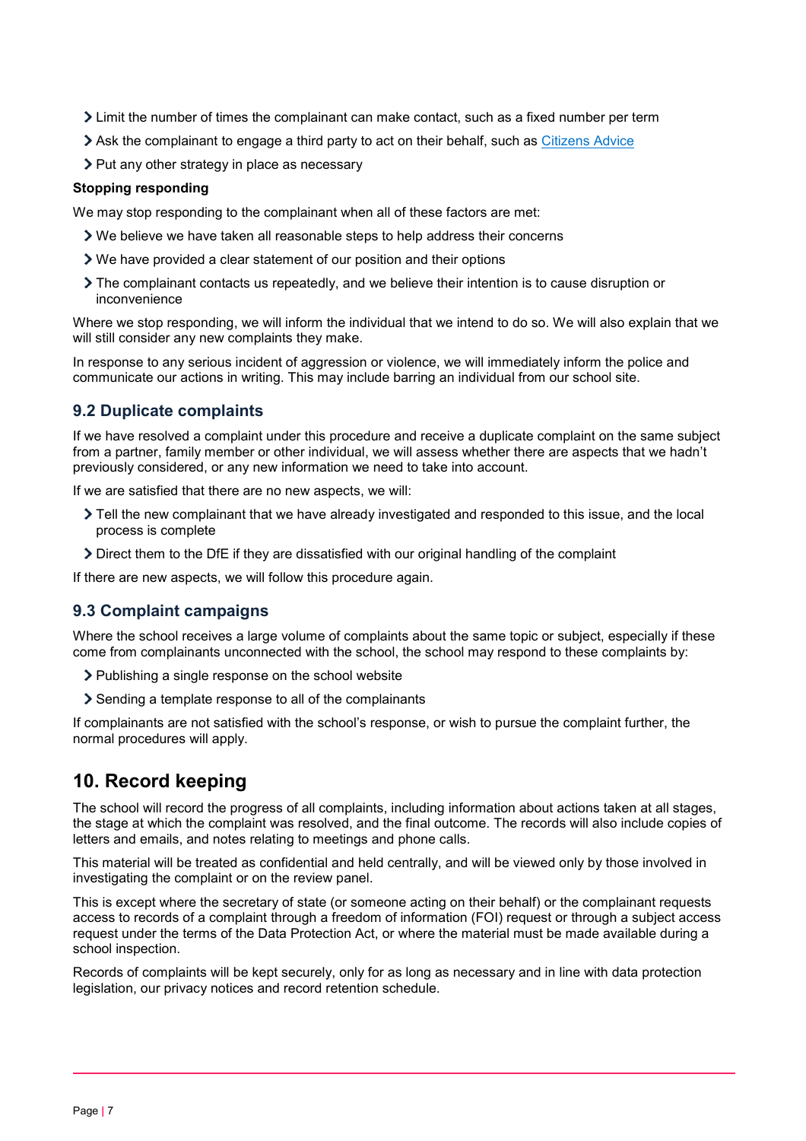- Limit the number of times the complainant can make contact, such as a fixed number per term
- Ask the complainant to engage a third party to act on their behalf, such as [Citizens Advice](https://www.citizensadvice.org.uk/)
- > Put any other strategy in place as necessary

#### **Stopping responding**

We may stop responding to the complainant when all of these factors are met:

- We believe we have taken all reasonable steps to help address their concerns
- We have provided a clear statement of our position and their options
- The complainant contacts us repeatedly, and we believe their intention is to cause disruption or inconvenience

Where we stop responding, we will inform the individual that we intend to do so. We will also explain that we will still consider any new complaints they make.

In response to any serious incident of aggression or violence, we will immediately inform the police and communicate our actions in writing. This may include barring an individual from our school site.

### **9.2 Duplicate complaints**

If we have resolved a complaint under this procedure and receive a duplicate complaint on the same subject from a partner, family member or other individual, we will assess whether there are aspects that we hadn't previously considered, or any new information we need to take into account.

If we are satisfied that there are no new aspects, we will:

- Tell the new complainant that we have already investigated and responded to this issue, and the local process is complete
- Direct them to the DfE if they are dissatisfied with our original handling of the complaint

If there are new aspects, we will follow this procedure again.

### **9.3 Complaint campaigns**

Where the school receives a large volume of complaints about the same topic or subject, especially if these come from complainants unconnected with the school, the school may respond to these complaints by:

- $\triangleright$  Publishing a single response on the school website
- Sending a template response to all of the complainants

If complainants are not satisfied with the school's response, or wish to pursue the complaint further, the normal procedures will apply.

## <span id="page-6-0"></span>**10. Record keeping**

The school will record the progress of all complaints, including information about actions taken at all stages, the stage at which the complaint was resolved, and the final outcome. The records will also include copies of letters and emails, and notes relating to meetings and phone calls.

This material will be treated as confidential and held centrally, and will be viewed only by those involved in investigating the complaint or on the review panel.

This is except where the secretary of state (or someone acting on their behalf) or the complainant requests access to records of a complaint through a freedom of information (FOI) request or through a subject access request under the terms of the Data Protection Act, or where the material must be made available during a school inspection.

Records of complaints will be kept securely, only for as long as necessary and in line with data protection legislation, our privacy notices and record retention schedule.